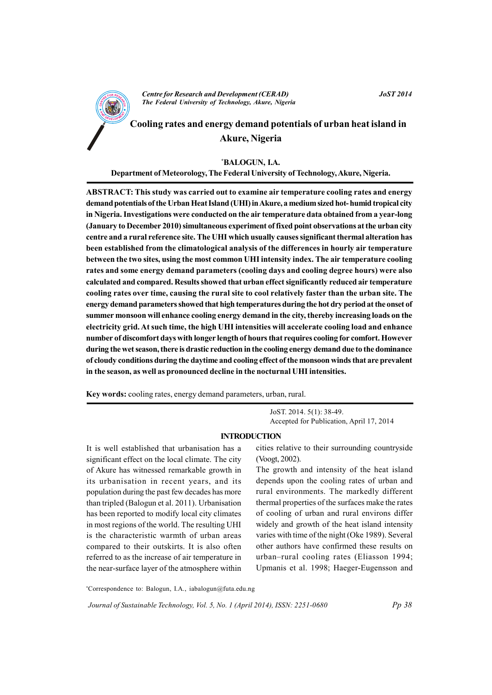

**JoST 2014** 

# Cooling rates and energy demand potentials of urban heat island in **Akure, Nigeria**

## \*BALOGUN, I.A.

Department of Meteorology, The Federal University of Technology, Akure, Nigeria.

ABSTRACT: This study was carried out to examine air temperature cooling rates and energy demand potentials of the Urban Heat Island (UHI) in Akure, a medium sized hot-humid tropical city in Nigeria. Investigations were conducted on the air temperature data obtained from a year-long (January to December 2010) simultaneous experiment of fixed point observations at the urban city centre and a rural reference site. The UHI which usually causes significant thermal alteration has been established from the climatological analysis of the differences in hourly air temperature between the two sites, using the most common UHI intensity index. The air temperature cooling rates and some energy demand parameters (cooling days and cooling degree hours) were also calculated and compared. Results showed that urban effect significantly reduced air temperature cooling rates over time, causing the rural site to cool relatively faster than the urban site. The energy demand parameters showed that high temperatures during the hot dry period at the onset of summer monsoon will enhance cooling energy demand in the city, thereby increasing loads on the electricity grid. At such time, the high UHI intensities will accelerate cooling load and enhance number of discomfort days with longer length of hours that requires cooling for comfort. However during the wet season, there is drastic reduction in the cooling energy demand due to the dominance of cloudy conditions during the daytime and cooling effect of the monsoon winds that are prevalent in the season, as well as pronounced decline in the nocturnal UHI intensities.

Key words: cooling rates, energy demand parameters, urban, rural.

JoST. 2014. 5(1): 38-49. Accepted for Publication. April 17, 2014

## **INTRODUCTION**

It is well established that urbanisation has a significant effect on the local climate. The city of Akure has witnessed remarkable growth in its urbanisation in recent years, and its population during the past few decades has more than tripled (Balogun et al. 2011). Urbanisation has been reported to modify local city climates in most regions of the world. The resulting UHI is the characteristic warmth of urban areas compared to their outskirts. It is also often referred to as the increase of air temperature in the near-surface layer of the atmosphere within cities relative to their surrounding countryside (Voogt, 2002).

The growth and intensity of the heat island depends upon the cooling rates of urban and rural environments. The markedly different thermal properties of the surfaces make the rates of cooling of urban and rural environs differ widely and growth of the heat island intensity varies with time of the night (Oke 1989). Several other authors have confirmed these results on urban-rural cooling rates (Eliasson 1994; Upmanis et al. 1998; Haeger-Eugensson and

\*Correspondence to: Balogun, I.A., iabalogun@futa.edu.ng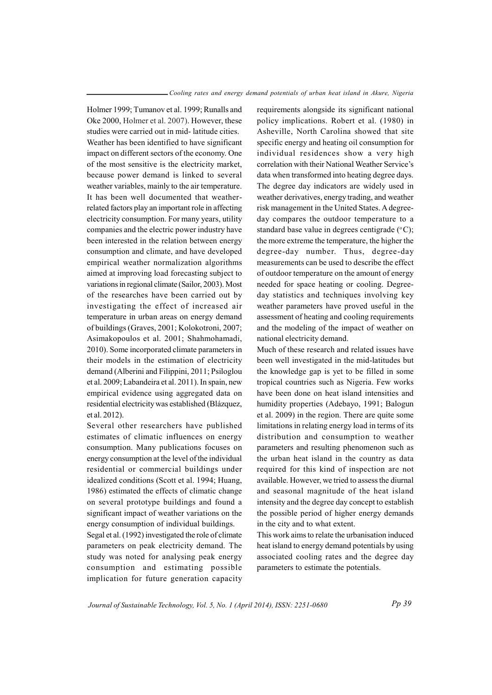Holmer 1999; Tumanov et al. 1999; Runalls and Oke 2000. Holmer et al. 2007). However, these studies were carried out in mid-latitude cities. Weather has been identified to have significant impact on different sectors of the economy. One of the most sensitive is the electricity market. because power demand is linked to several weather variables, mainly to the air temperature. It has been well documented that weatherrelated factors play an important role in affecting electricity consumption. For many years, utility companies and the electric power industry have been interested in the relation between energy consumption and climate, and have developed empirical weather normalization algorithms aimed at improving load forecasting subject to variations in regional climate (Sailor, 2003). Most of the researches have been carried out by investigating the effect of increased air temperature in urban areas on energy demand of buildings (Graves, 2001; Kolokotroni, 2007; Asimakopoulos et al. 2001; Shahmohamadi, 2010). Some incorporated climate parameters in their models in the estimation of electricity demand (Alberini and Filippini, 2011; Psiloglou et al. 2009; Labandeira et al. 2011). In spain, new empirical evidence using aggregated data on residential electricity was established (Blázquez, et al. 2012).

Several other researchers have published estimates of climatic influences on energy consumption. Many publications focuses on energy consumption at the level of the individual residential or commercial buildings under idealized conditions (Scott et al. 1994; Huang, 1986) estimated the effects of climatic change on several prototype buildings and found a significant impact of weather variations on the energy consumption of individual buildings.

Segal et al. (1992) investigated the role of climate parameters on peak electricity demand. The study was noted for analysing peak energy consumption and estimating possible implication for future generation capacity requirements alongside its significant national policy implications. Robert et al. (1980) in Asheville, North Carolina showed that site specific energy and heating oil consumption for individual residences show a very high correlation with their National Weather Service's data when transformed into heating degree days. The degree day indicators are widely used in weather derivatives, energy trading, and weather risk management in the United States. A degreeday compares the outdoor temperature to a standard base value in degrees centigrade (°C); the more extreme the temperature, the higher the degree-day number. Thus, degree-day measurements can be used to describe the effect of outdoor temperature on the amount of energy needed for space heating or cooling. Degreeday statistics and techniques involving key weather parameters have proved useful in the assessment of heating and cooling requirements and the modeling of the impact of weather on national electricity demand.

Much of these research and related issues have been well investigated in the mid-latitudes but the knowledge gap is yet to be filled in some tropical countries such as Nigeria. Few works have been done on heat island intensities and humidity properties (Adebayo, 1991; Balogun et al. 2009) in the region. There are quite some limitations in relating energy load in terms of its distribution and consumption to weather parameters and resulting phenomenon such as the urban heat island in the country as data required for this kind of inspection are not available. However, we tried to assess the diurnal and seasonal magnitude of the heat island intensity and the degree day concept to establish the possible period of higher energy demands in the city and to what extent.

This work aims to relate the urbanisation induced heat island to energy demand potentials by using associated cooling rates and the degree day parameters to estimate the potentials.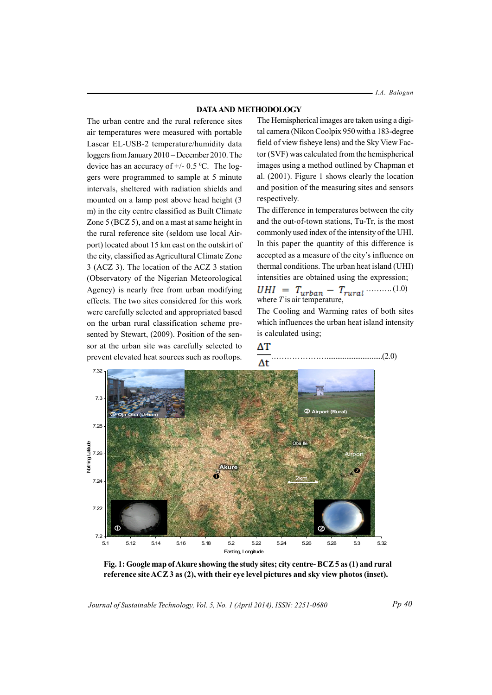- I.A. Balogun

#### **DATA AND METHODOLOGY**

The urban centre and the rural reference sites air temperatures were measured with portable Lascar EL-USB-2 temperature/humidity data loggers from January 2010 – December 2010. The device has an accuracy of  $+/$  0.5 °C. The loggers were programmed to sample at 5 minute intervals, sheltered with radiation shields and mounted on a lamp post above head height (3) m) in the city centre classified as Built Climate Zone 5 (BCZ 5), and on a mast at same height in the rural reference site (seldom use local Airport) located about 15 km east on the outskirt of the city, classified as Agricultural Climate Zone 3 (ACZ 3). The location of the ACZ 3 station (Observatory of the Nigerian Meteorological Agency) is nearly free from urban modifying effects. The two sites considered for this work were carefully selected and appropriated based on the urban rural classification scheme presented by Stewart, (2009). Position of the sensor at the urban site was carefully selected to prevent elevated heat sources such as rooftops.

The Hemispherical images are taken using a digital camera (Nikon Coolpix 950 with a 183-degree field of view fisheve lens) and the Sky View Factor (SVF) was calculated from the hemispherical images using a method outlined by Chapman et al. (2001). Figure 1 shows clearly the location and position of the measuring sites and sensors respectively.

The difference in temperatures between the city and the out-of-town stations, Tu-Tr, is the most commonly used index of the intensity of the UHI. In this paper the quantity of this difference is accepted as a measure of the city's influence on thermal conditions. The urban heat island (UHI) intensities are obtained using the expression;

 $UHI = T_{urban} - T_{rural}$  (1.0)<br>where *T* is air temperature,

The Cooling and Warming rates of both sites which influences the urban heat island intensity is calculated using:



ΔΤ

Fig. 1: Google map of Akure showing the study sites; city centre-BCZ5 as (1) and rural reference site ACZ 3 as (2), with their eve level pictures and sky view photos (inset).

Journal of Sustainable Technology, Vol. 5, No. 1 (April 2014), ISSN: 2251-0680

 $Pp 40$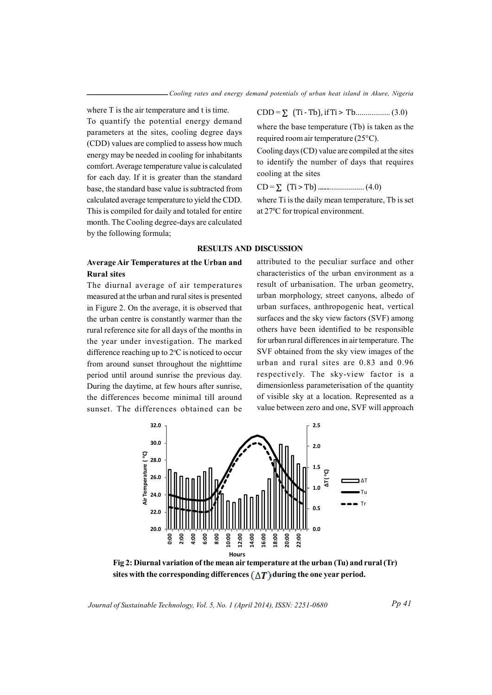where T is the air temperature and t is time. To quantify the potential energy demand parameters at the sites, cooling degree days (CDD) values are complied to assess how much energy may be needed in cooling for inhabitants comfort. Average temperature value is calculated for each day. If it is greater than the standard base, the standard base value is subtracted from calculated average temperature to yield the CDD. This is compiled for daily and totaled for entire month. The Cooling degree-days are calculated by the following formula;

# Average Air Temperatures at the Urban and **Rural sites**

The diurnal average of air temperatures measured at the urban and rural sites is presented in Figure 2. On the average, it is observed that the urban centre is constantly warmer than the rural reference site for all days of the months in the year under investigation. The marked difference reaching up to  $2^{\circ}$ C is noticed to occur from around sunset throughout the nighttime period until around sunrise the previous day. During the daytime, at few hours after sunrise, the differences become minimal till around sunset. The differences obtained can be

# 

where the base temperature (Tb) is taken as the required room air temperature (25°C).

Cooling days (CD) value are compiled at the sites to identify the number of days that requires cooling at the sites

where Ti is the daily mean temperature. Th is set at 27°C for tropical environment.

# **RESULTS AND DISCUSSION**

attributed to the peculiar surface and other characteristics of the urban environment as a result of urbanisation. The urban geometry, urban morphology, street canyons, albedo of urban surfaces, anthropogenic heat, vertical surfaces and the sky view factors (SVF) among others have been identified to be responsible for urban rural differences in air temperature. The SVF obtained from the sky view images of the urban and rural sites are 0.83 and 0.96 respectively. The sky-view factor is a dimensionless parameterisation of the quantity of visible sky at a location. Represented as a value between zero and one, SVF will approach



Fig 2: Diurnal variation of the mean air temperature at the urban (Tu) and rural (Tr) sites with the corresponding differences  $(\Lambda T)$  during the one year period.

Journal of Sustainable Technology, Vol. 5, No. 1 (April 2014), ISSN: 2251-0680

 $Pp 41$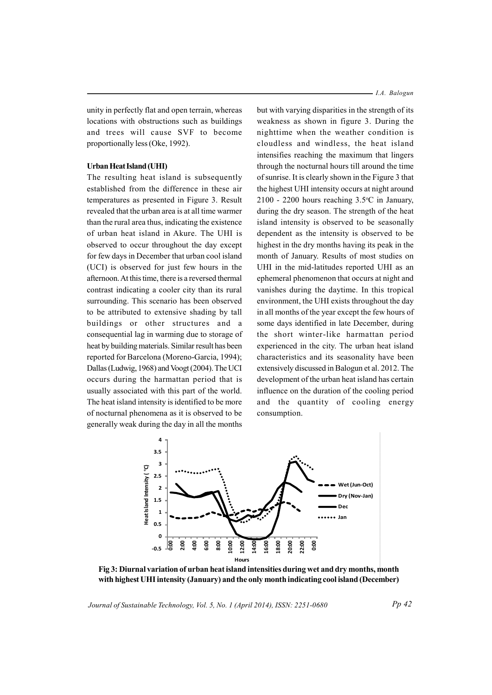unity in perfectly flat and open terrain, whereas locations with obstructions such as buildings and trees will cause SVF to become proportionally less (Oke, 1992).

## **<b>rban Heat Island** (**UHI**)

The resulting heat island is subsequently established from the difference in these air temperatures as presented in Figure 3. Result revealed that the urban area is at all time warmer than the rural area thus, indicating the existence of urban heat island in Akure. The UHI is observed to occur throughout the day except for few days in December that urban cool island (UCI) is observed for just few hours in the afternoon. At this time, there is a reversed thermal contrast indicating a cooler city than its rural surrounding. This scenario has been observed to be attributed to extensive shading by tall buildings or other structures and a consequential lag in warming due to storage of heat by building materials. Similar result has been reported for Barcelona (Moreno-Garcia, 1994); Dallas (Ludwig, 1968) and Voogt (2004). The UCI occurs during the harmattan period that is usually associated with this part of the world. The heat island intensity is identified to be more of nocturnal phenomena as it is observed to be generally weak during the day in all the months

but with varying disparities in the strength of its weakness as shown in figure 3. During the nighttime when the weather condition is cloudless and windless, the heat island intensifies reaching the maximum that lingers through the nocturnal hours till around the time of sunrise. It is clearly shown in the Figure 3 that the highest UHI intensity occurs at night around 2100 - 2200 hours reaching  $3.5^{\circ}$ C in January, during the dry season. The strength of the heat island intensity is observed to be seasonally dependent as the intensity is observed to be highest in the dry months having its peak in the month of January. Results of most studies on UHI in the mid-latitudes reported UHI as an ephemeral phenomenon that occurs at night and vanishes during the daytime. In this tropical environment, the UHI exists throughout the day in all months of the year except the few hours of some days identified in late December, during the short winter-like harmattan period experienced in the city. The urban heat island characteristics and its seasonality have been extensively discussed in Balogun et al. 2012. The development of the urban heat island has certain influence on the duration of the cooling period and the quantity of cooling energy consumption.



Fig 3: Diurnal variation of urban heat island intensities during wet and dry months, month with highest UHI intensity (January) and the only month indicating cool island (December)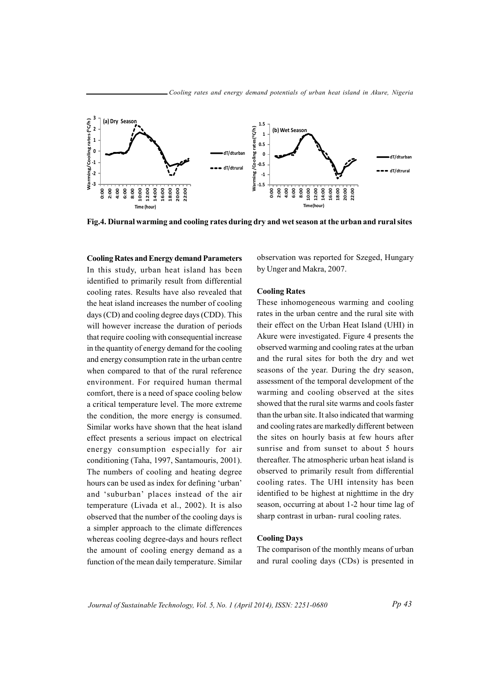

Fig. 4. Diurnal warming and cooling rates during dry and wet season at the urban and rural sites

**Cooling Rates and Energy demand Parameters** In this study, urban heat island has been identified to primarily result from differential cooling rates. Results have also revealed that the heat island increases the number of cooling days (CD) and cooling degree days (CDD). This will however increase the duration of periods that require cooling with consequential increase in the quantity of energy demand for the cooling and energy consumption rate in the urban centre when compared to that of the rural reference environment. For required human thermal comfort, there is a need of space cooling below a critical temperature level. The more extreme the condition, the more energy is consumed. Similar works have shown that the heat island effect presents a serious impact on electrical energy consumption especially for air conditioning (Taha, 1997, Santamouris, 2001). The numbers of cooling and heating degree hours can be used as index for defining 'urban' and 'suburban' places instead of the air temperature (Livada et al., 2002). It is also observed that the number of the cooling days is a simpler approach to the climate differences whereas cooling degree-days and hours reflect the amount of cooling energy demand as a function of the mean daily temperature. Similar

observation was reported for Szeged, Hungary by Unger and Makra, 2007.

#### **Cooling Rates**

These inhomogeneous warming and cooling rates in the urban centre and the rural site with their effect on the Urban Heat Island (UHI) in Akure were investigated. Figure 4 presents the observed warming and cooling rates at the urban and the rural sites for both the dry and wet seasons of the year. During the dry season, assessment of the temporal development of the warming and cooling observed at the sites showed that the rural site warms and cools faster than the urban site. It also indicated that warming and cooling rates are markedly different between the sites on hourly basis at few hours after sunrise and from sunset to about 5 hours thereafter. The atmospheric urban heat island is observed to primarily result from differential cooling rates. The UHI intensity has been identified to be highest at nighttime in the dry season, occurring at about 1-2 hour time lag of sharp contrast in urban-rural cooling rates.

## **Cooling Days**

The comparison of the monthly means of urban and rural cooling days (CDs) is presented in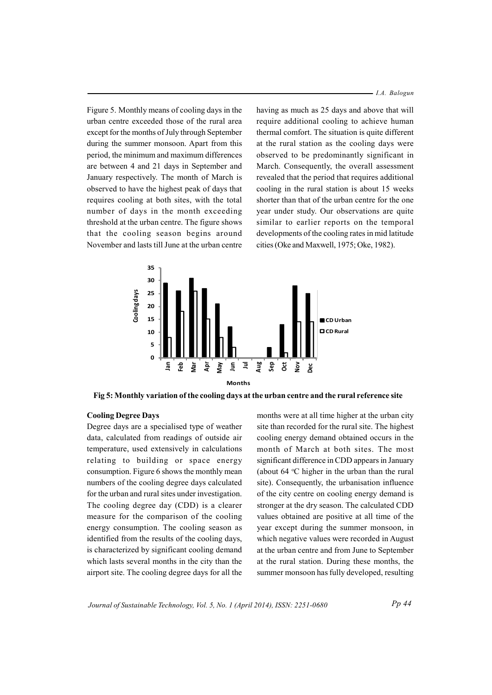*I.A. Balogun*

Figure 5. Monthly means of cooling days in the urban centre exceeded those of the rural area except for the months of July through September during the summer monsoon. Apart from this period, the minimum and maximum differences are between 4 and 21 days in September and January respectively. The month of March is observed to have the highest peak of days that requires cooling at both sites, with the total number of days in the month exceeding thre shold at the urban centre. The figure shows that the cooling season begins around November and lasts till June at the urban centre having as much as 25 days and above that will require additional cooling to achieve human thermal comfort. The situation is quite different at the rural station as the cooling days were observed to be predominantly significant in March. Consequently, the overall assessment revealed that the period that requires additional cooling in the rural station is about 15 weeks shorter than that of the urban centre for the one year under study. Our observations are quite similar to earlier reports on the temporal developments of the cooling rates in mid latitude cities (Oke and Maxwell, 1975; Oke, 1982).



Fig 5: Monthly variation of the cooling days at the urban centre and the rural reference site

## *Cooling Degree Days*

Degree days are a specialised type of weather data, calculated from readings of outside air temperature, used extensively in calculations relating to building or space energy consumption. Figure 6 shows the monthly mean numbers of the cooling degree days calculated for the urban and rural sites under investigation. The cooling degree day  $(CDD)$  is a clearer measure for the comparison of the cooling energy consumption. The cooling season as identified from the results of the cooling days, is characterized by significant cooling demand which lasts several months in the city than the airport site. The cooling degree days for all the months were at all time higher at the urban city site than recorded for the rural site. The highest cooling energy demand obtained occurs in the month of March at both sites. The most significant difference in CDD appears in January (about 64  $\degree$ C higher in the urban than the rural site). Consequently, the urbanisation influence of the city centre on cooling energy demand is stronger at the dry season. The calculated CDD values obtained are positive at all time of the year except during the summer monsoon, in which negative values were recorded in August at the urban centre and from June to September at the rural station. During these months, the summer monsoon has fully developed, resulting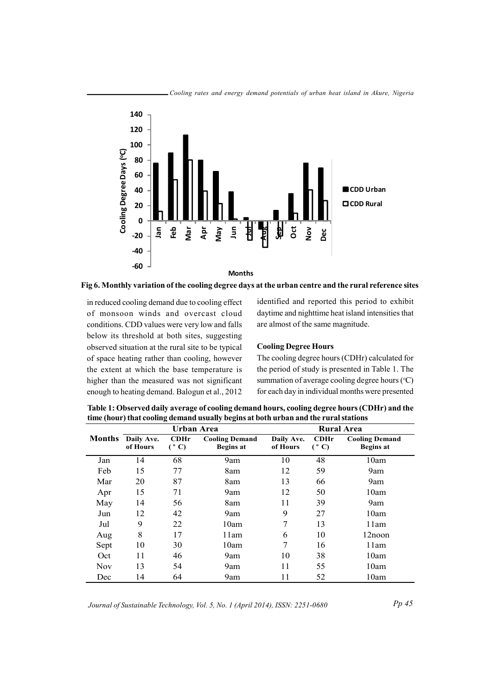

Fig 6. Monthly variation of the cooling degree days at the urban centre and the rural reference sites

in reduced cooling demand due to cooling effect of monsoon winds and overcast cloud conditions. CDD values were very low and falls below its threshold at both sites, suggesting observed situation at the rural site to be typical of space heating rather than cooling, however the extent at which the base temperature is higher than the measured was not significant enough to heating demand. Balogun et al., 2012

identified and reported this period to exhibit daytime and nighttime heat island intensities that are almost of the same magnitude.

## **Cooling Degree Hours**

The cooling degree hours (CDHr) calculated for the period of study is presented in Table 1. The summation of average cooling degree hours (°C) for each day in individual months were presented

|               | ∍<br>ு ∍<br>Urban Area |                                        |                                           | <b>Rural Area</b>      |                       |                                           |
|---------------|------------------------|----------------------------------------|-------------------------------------------|------------------------|-----------------------|-------------------------------------------|
| <b>Months</b> | Daily Ave.<br>of Hours | CDHr<br>$\mathfrak{g}$<br>$\mathbf{C}$ | <b>Cooling Demand</b><br><b>Begins at</b> | Daily Ave.<br>of Hours | CDHr<br>$(^{\circ}C)$ | <b>Cooling Demand</b><br><b>Begins at</b> |
| Jan           | 14                     | 68                                     | 9am                                       | 10                     | 48                    | 10am                                      |
| Feb           | 15                     | 77                                     | 8am                                       | 12                     | 59                    | 9am                                       |
| Mar           | 20                     | 87                                     | 8am                                       | 13                     | 66                    | 9am                                       |
| Apr           | 15                     | 71                                     | 9am                                       | 12                     | 50                    | 10am                                      |
| May           | 14                     | 56                                     | 8am                                       | 11                     | 39                    | 9am                                       |
| Jun           | 12                     | 42                                     | 9am                                       | 9                      | 27                    | 10am                                      |
| Jul           | 9                      | 22                                     | 10am                                      | 7                      | 13                    | 11am                                      |
| Aug           | 8                      | 17                                     | 11am                                      | 6                      | 10                    | 12noon                                    |
| Sept          | 10                     | 30                                     | 10am                                      | $\overline{7}$         | 16                    | 11am                                      |
| Oct           | 11                     | 46                                     | 9am                                       | 10                     | 38                    | 10am                                      |
| <b>Nov</b>    | 13                     | 54                                     | 9am                                       | 11                     | 55                    | 10am                                      |
| Dec           | 14                     | 64                                     | 9am                                       | 11                     | 52                    | 10am                                      |

Table 1: Observed daily average of cooling demand hours, cooling degree hours (CDHr) and the time (hour) that cooling demand usually begins at both urban and the rural stations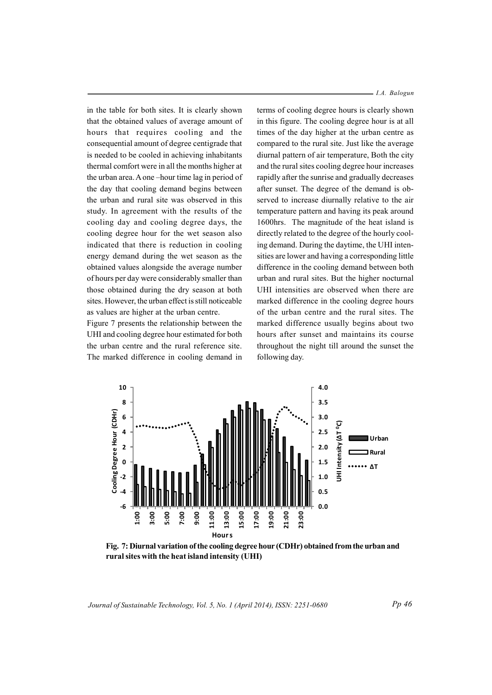in the table for both sites. It is clearly shown that the obtained values of average amount of hours that requires cooling and the consequential amount of degree centigrade that is needed to be cooled in achieving inhabitants thermal comfort were in all the months higher at the urban area. A one –hour time lag in period of the day that cooling demand begins between the urban and rural site was observed in this study. In agreement with the results of the cooling day and cooling degree days, the cooling degree hour for the wet season also indicated that there is reduction in cooling energy demand during the wet season as the obtained values alongside the average number of hours per day were considerably smaller than those obtained during the dry season at both sites. However, the urban effect is still noticeable as values are higher at the urban centre.

Figure 7 presents the relationship between the UHI and cooling degree hour estimated for both the urban centre and the rural reference site. The marked difference in cooling demand in *I.A. Balogun*

terms of cooling degree hours is clearly shown in this figure. The cooling degree hour is at all times of the day higher at the urban centre as compared to the rural site. Just like the average diurnal pattern of air temperature, Both the city and the rural sites cooling degree hour increases rapidly after the sunrise and gradually decreases after sunset. The degree of the demand is observed to increase diurnally relative to the air temperature pattern and having its peak around 1600hrs. The magnitude of the heat island is directly related to the degree of the hourly cooling demand. During the daytime, the UHI intensities are lower and having a corresponding little difference in the cooling demand between both urban and rural sites. But the higher nocturnal UHI intensities are observed when there are marked difference in the cooling degree hours of the urban centre and the rural sites. The marked difference usually begins about two hours after sunset and maintains its course throughout the night till around the sunset the following day.



Fig. 7: Diurnal variation of the cooling degree hour (CDHr) obtained from the urban and **ruralsites iw th the heat island intensity (UHI)**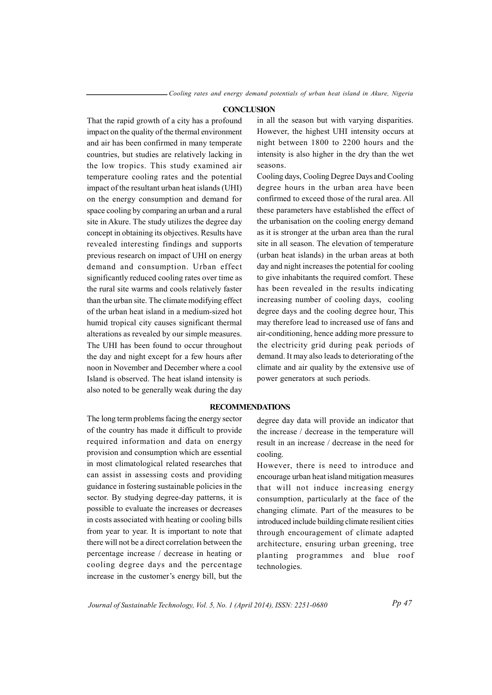### **CONCLUSION**

That the rapid growth of a city has a profound impact on the quality of the thermal environment and air has been confirmed in many temperate countries, but studies are relatively lacking in the low tropics. This study examined air temperature cooling rates and the potential impact of the resultant urban heat islands (UHI) on the energy consumption and demand for space cooling by comparing an urban and a rural site in Akure. The study utilizes the degree day concept in obtaining its objectives. Results have revealed interesting findings and supports previous research on impact of UHI on energy demand and consumption. Urban effect significantly reduced cooling rates over time as the rural site warms and cools relatively faster than the urban site. The climate modifying effect of the urban heat island in a medium-sized hot humid tropical city causes significant thermal alterations as revealed by our simple measures. The UHI has been found to occur throughout the day and night except for a few hours after noon in November and December where a cool Island is observed. The heat island intensity is also noted to be generally weak during the day

in all the season but with varying disparities. However, the highest UHI intensity occurs at night between 1800 to 2200 hours and the intensity is also higher in the dry than the wet seasons.

Cooling days, Cooling Degree Days and Cooling degree hours in the urban area have been confirmed to exceed those of the rural area. All these parameters have established the effect of the urbanisation on the cooling energy demand as it is stronger at the urban area than the rural site in all season. The elevation of temperature (urban heat islands) in the urban areas at both day and night increases the potential for cooling to give inhabitants the required comfort. These has been revealed in the results indicating increasing number of cooling days, cooling degree days and the cooling degree hour, This may therefore lead to increased use of fans and air-conditioning, hence adding more pressure to the electricity grid during peak periods of demand. It may also leads to deteriorating of the climate and air quality by the extensive use of power generators at such periods.

# **RECOMMENDATIONS**

The long term problems facing the energy sector of the country has made it difficult to provide required information and data on energy provision and consumption which are essential in most climatological related researches that can assist in assessing costs and providing guidance in fostering sustainable policies in the sector. By studying degree-day patterns, it is possible to evaluate the increases or decreases in costs associated with heating or cooling bills from year to year. It is important to note that there will not be a direct correlation between the percentage increase / decrease in heating or cooling degree days and the percentage increase in the customer's energy bill, but the

degree day data will provide an indicator that the increase / decrease in the temperature will result in an increase / decrease in the need for cooling.

However, there is need to introduce and encourage urban heat island mitigation measures that will not induce increasing energy consumption, particularly at the face of the changing climate. Part of the measures to be introduced include building climate resilient cities through encouragement of climate adapted architecture, ensuring urban greening, tree planting programmes and blue roof technologies.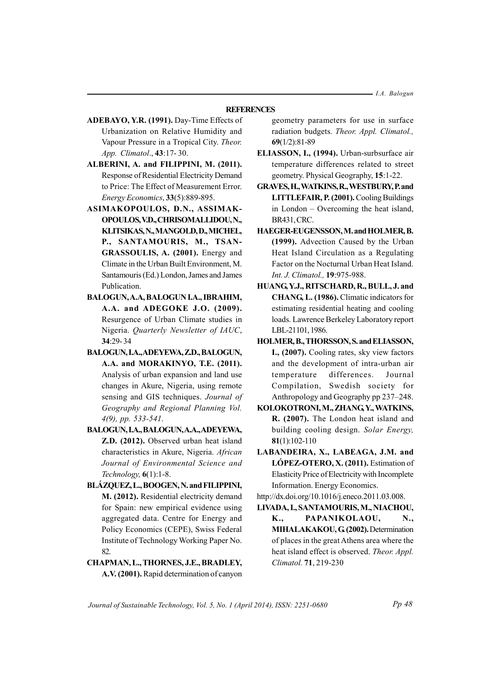$-LA.$  Balogun

## **REFERENCES**

- ADEBAYO, Y.R. (1991). Day-Time Effects of Urbanization on Relative Humidity and Vapour Pressure in a Tropical City. Theor. App. Climatol., 43:17-30.
- ALBERINI, A. and FILIPPINI, M. (2011). Response of Residential Electricity Demand to Price: The Effect of Measurement Error. Energy Economics, 33(5):889-895.
- ASIMAKOPOULOS, D.N., ASSIMAK-OPOULOS, V.D., CHRISOMALLIDOU, N., KLITSIKAS, N., MANGOLD, D., MICHEL, P., SANTAMOURIS, M., TSAN-GRASSOULIS, A. (2001). Energy and Climate in the Urban Built Environment, M. Santamouris (Ed.) London, James and James Publication.
- BALOGUN, A.A, BALOGUN I.A., IBRAHIM, A.A. and ADEGOKE J.O. (2009). Resurgence of Urban Climate studies in Nigeria. Quarterly Newsletter of IAUC,  $34:29 - 34$
- BALOGUN, I.A., ADEYEWA, Z.D., BALOGUN, A.A. and MORAKINYO, T.E. (2011). Analysis of urban expansion and land use changes in Akure, Nigeria, using remote sensing and GIS techniques. Journal of Geography and Regional Planning Vol.  $4(9)$ , pp. 533-541.
- BALOGUN, I.A., BALOGUN, A.A., ADEYEWA, Z.D. (2012). Observed urban heat island characteristics in Akure, Nigeria. African Journal of Environmental Science and Technology,  $6(1)$ :1-8.
- BLÁZQUEZ, L., BOOGEN, N. and FILIPPINI, M. (2012). Residential electricity demand for Spain: new empirical evidence using aggregated data. Centre for Energy and Policy Economics (CEPE), Swiss Federal Institute of Technology Working Paper No. 82
- CHAPMAN, L., THORNES, J.E., BRADLEY, A.V. (2001). Rapid determination of canyon

geometry parameters for use in surface radiation budgets. Theor. Appl. Climatol.,  $69(1/2):81-89$ 

- ELIASSON, I., (1994). Urban-surbsurface air temperature differences related to street geometry. Physical Geography, 15:1-22.
- **GRAVES, H., WATKINS, R., WESTBURY, P. and** LITTLEFAIR, P. (2001). Cooling Buildings in London – Overcoming the heat island, BR431, CRC.
- HAEGER-EUGENSSON, M. and HOLMER, B. (1999). Advection Caused by the Urban Heat Island Circulation as a Regulating Factor on the Nocturnal Urban Heat Island. Int. J. Climatol., 19:975-988.
- HUANG, Y.J., RITSCHARD, R., BULL, J. and CHANG, L. (1986). Climatic indicators for estimating residential heating and cooling loads. Lawrence Berkeley Laboratory report LBL-21101, 1986.
- HOLMER, B., THORSSON, S. and ELIASSON, I., (2007). Cooling rates, sky view factors and the development of intra-urban air differences. temperature Journal Compilation, Swedish society for Anthropology and Geography pp 237-248.
- KOLOKOTRONI, M., ZHANG, Y., WATKINS, R. (2007). The London heat island and building cooling design. Solar Energy,  $81(1):102-110$
- LABANDEIRA, X., LABEAGA, J.M. and LÓPEZ-OTERO, X. (2011). Estimation of Elasticity Price of Electricity with Incomplete Information. Energy Economics.

http://dx.doi.org/10.1016/j.eneco.2011.03.008.

LIVADA, L. SANTAMOURIS, M., NIACHOU, K., PAPANIKOLAOU, N., MIHALAKAKOU, G (2002). Determination of places in the great Athens area where the heat island effect is observed. Theor. Appl. Climatol. 71, 219-230